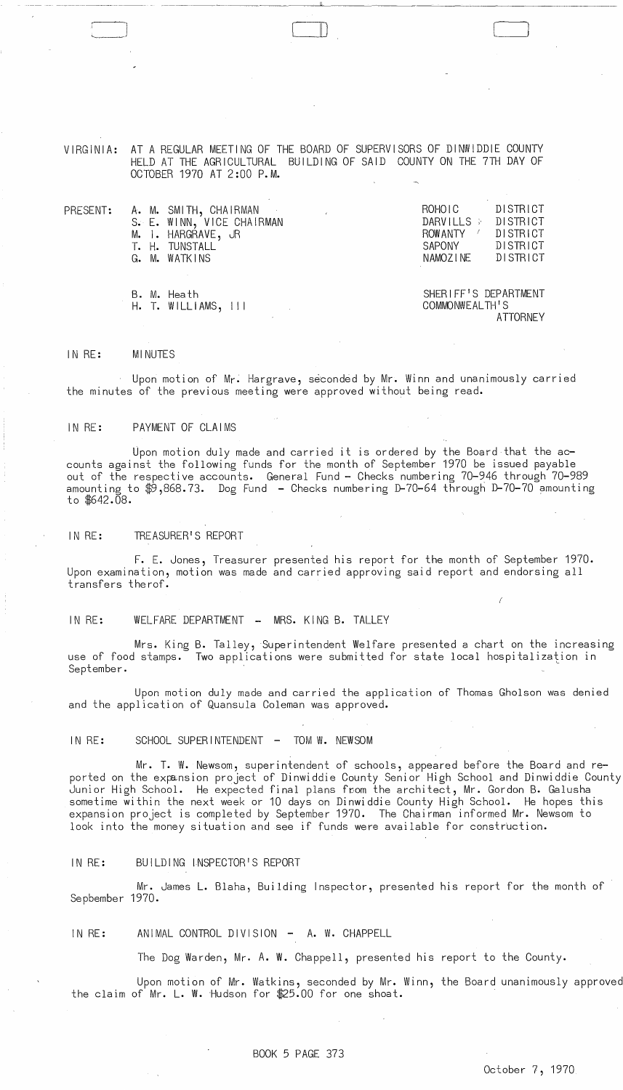VIRGINIA: AT A REGULAR MEETING OF THE BOARD OF SUPERVISORS OF DINWIDDIE COUNTY HELD AT THE AGRICULTURAL BUILDING OF SAID COUNTY ON THE 7TH DAY OF OCTOBER 1970 AT 2:00 P.M.

|  | PRESENT: A.M. SMITH, CHAIRMAN | ROHOIC               | DISTRICT |
|--|-------------------------------|----------------------|----------|
|  | S. E. WINN, VICE CHAIRMAN     | DARVILLS > DISTRICT  |          |
|  | M. I. HARGRAVE, JR            | ROWANTY /            | DISTRICT |
|  | T. H. TUNSTALL                | SAPONY               | DISTRICT |
|  | G. M. WATKINS                 | NAMOZINE             | DISTRICT |
|  |                               |                      |          |
|  |                               |                      |          |
|  | B. M. Heath                   | SHERIFF'S DEPARTMENT |          |
|  | $H.$ T. WILLIAMS, $111$       | COMMONWEALTH'S       |          |
|  |                               |                      | ATTORNEY |

#### IN RE: MINUTES

~--- -- -~~------~------~-~ --------~~--

 $\Box$ 

Upon motion of Mr. Hargrave, seconded by Mr. Winn and unanimously carried the minutes of the previous meeting were approved without being read.

## IN RE: PAYMENT OF CLAIMS

Upon motion duly made and carried it is ordered by the Board that the accounts against the following funds for the month of September 1970 be issued payable out of the respective accounts. General Fund - Checks numbering 70-946 through 70-989 amounting to \$9,868.73. Dog Fund - Checks numbering D-70-64 through D-70-70 amounting to  $$642.08$ .

# IN RE: TREASURER'S REPORT

F. E. Jones, Treasurer presented his report for the month of September 1970. Upon examination, motion was made and carried approving said report and endorsing all transfers therof.

## IN RE: WELFARE DEPARTMENT - MRS. KING B. TALLEY

Mrs. King B. Talley, Superintendent Welfare presented a chart on the increasing use of food stamps. Two applications were submitted for state local hospitalization in September.

Upon motion duly made and carried the application of Thomas Gholson was denied and the application of Quansula Coleman was approved.

# IN RE: SCHOOL SUPERINTENDENT - TOM W. NEWSOM

Mr. T. W. Newsom, superintendent of schools, appeared before the Board and reported on the expansion project of Dinwiddie County Senior High School and Dinwiddie County Junior High School. He expected final plans from the architect, Mr. Gordon B. Galusha sometime within the next week or 10 days on Dinwiddie County High School. He hopes this expansion project is completed by September 1970. The Chairman informed Mr. Newsom to look into the money situation and see if funds were available for construction.

#### IN RE: BUILDING INSPECTOR'S REPORT

Mr. James L. Blaha, Building Inspector, presented his report for the month of Sepbember 1970.

IN RE: ANIMAL CONTROL DIVISION - A. W. CHAPPELL

The Dog Warden, Mr. A. W. Chappell, presented his report to the County.

Upon motion of Mr. Watkins, seconded by Mr. Winn, the Board unanimously approved the claim of Mr. L. W. Hudson for  $$25.00$  for one shoat.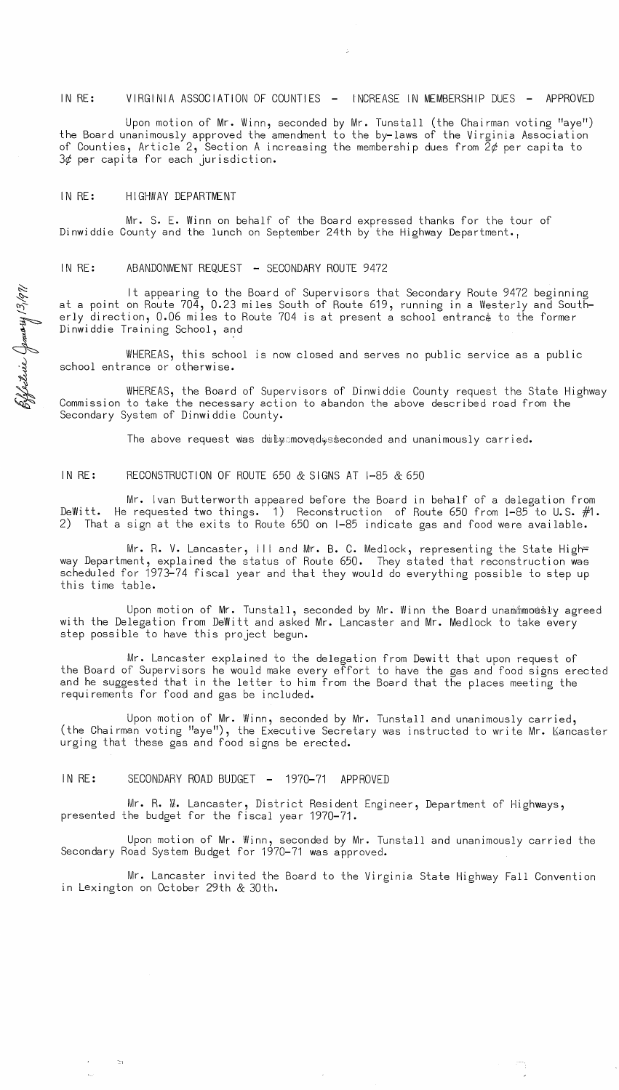## IN RE: VIRGINIA ASSOCIATION OF COUNTIES - INCREASE IN MEMBERSHIP DUES - APPROVED

Upon motion of Mr. Winn, seconded by Mr. Tunstall (the Chairman voting "aye") the Board unanimously approved the amendment to the by-laws of the Virginia Association of Counties, Article 2, Section A increasing the membership dues from  $\bar{2}\phi$  per capita to  $3¢$  per capita for each jurisdiction.

## IN RE: HIGHWAY DEPARTMENT

13,1971

ie (Jement)<br>|3<sub>1</sub>

Mr. S. E. Winn on behalf of the Board expressed thanks for the tour of Dinwiddie County and the lunch on September 24th by the Highway Department.,

# IN RE: ABANDONMENT REQUEST - SECONDARY ROUTE 9472

It appearing to the Board of Supervisors that Secondary Route 9472 beginning at a point on Route 704, 0.23 miles South of Route 619, running in a Westerly and Southerly direction, 0.06 miles to Route 704 is at present a school entrance to the former Dinwiddie Training School, and

WHEREAS, this school is now closed and serves no public service as a public school entrance or otherwise.

Effettive WHEREAS, the Board of Supervisors of Dinwiddie County request the State Highway Commission to take the necessary action to abandon the above described road from the Secondary System of Dinwiddie County.

The above request was duly moved sseconded and unanimously carried.

### IN RE: RECONSTRUCTION OF ROUTE 650 & SIGNS AT 1-85 & 650

Mr. Ivan Butterworth appeared before the Board in behalf of a delegation from DeWitt. He requested two things. 1) Reconstruction of Route 650 from 1-85 to U.S.  $\#1$ . 2) That a sign at the exits to Route 650 on 1-85 indicate gas and food were available.

Mr. R. V. Lancaster, III and Mr. B. C. Medlock, representing the State High= way Department, explained the status of Route 650. They stated that reconstruction was scheduled for 1973-74 fiscal year and that they would do everything possible to step up this time table.

Upon motion of Mr. Tunstall, seconded by Mr. Winn the Board unammowsly agreed with the Delegation from DeWitt and asked Mr. Lancaster and Mr. Medlock to take every step possible to have this project begun.

Mr. Lancaster explained to the delegation from Dewitt that upon request of the Board of Supervisors he would make every effort to have the gas and food signs erected and he suggested that in the letter to him from the Board that the places meeting the requirements for food and gas be included.

Upon motion of Mr. Winn, seconded by Mr. Tunstall and unanimously carried, (the Chairman voting "aye"), the Executive Secretary was instructed to write Mr. Kancaster urging that these gas and food signs be erected.

IN RE: SECONDARY ROAD BUDGET - 1970-71 APPROVED

::1

Mr. R. W. Lancaster, District Resident Engineer, Department of Highways, presented the budget for the fiscal year 1970-71.

Upon motion of Mr. Winn, seconded by Mr. Tunstall and unanimously carried the Secondary Road System Budget for 1970-71 was approved.

Mr. Lancaster invited the Board to the Virginia State Highway Fall Convention in Lexington on October 29th & 30th.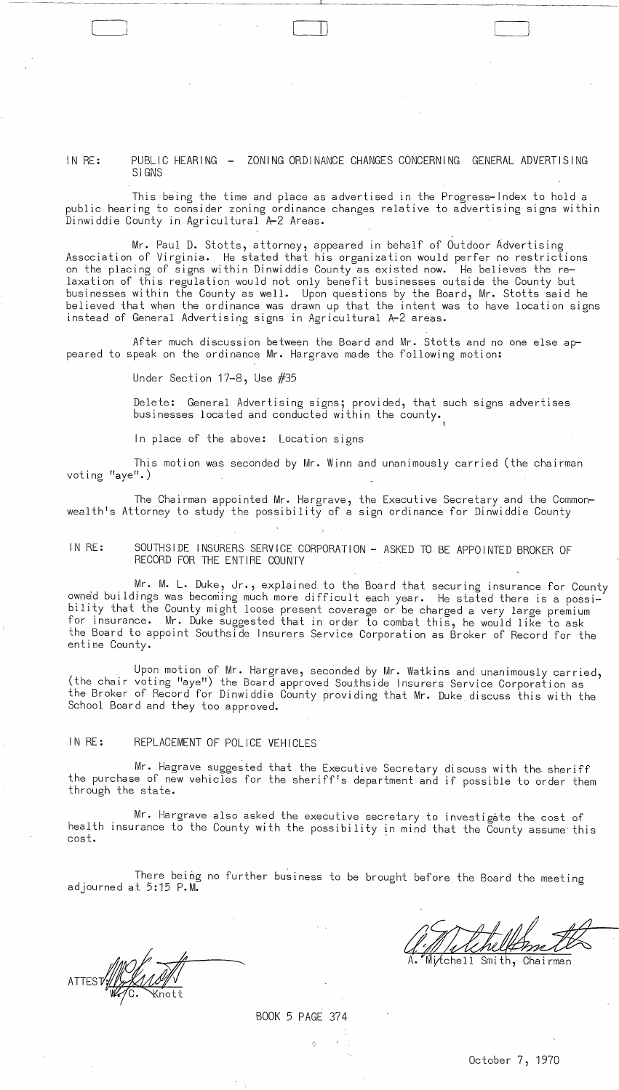IN RE: PUBLIC HEARING - ZONING ORDINANCE CHANGES CONCERNING GENERAL ADVERTISING SIGNS

 $\Box$ 

This being the time and place as advertised in the Progress-Index to hold a public hearing to consider zoning ordinance changes relative to advertising signs within Dinwiddie County in Agricultural A-2 Areas.

Mr. Paul D. Stotts, attorney, appeared in behalf of Outdoor Advertising Association of Virginia. He stated that his organization would perfer no restrictions on the placing of signs within Dinwiddie County as existed now. He believes the relaxation of this regulation would not only benefit businesses outside the County but businesses within the County as well. Upon questions by the Board, Mr. stotts said he believed that when the ordinance was drawn up that the intent was to have location signs instead of General Advertising signs in Agricultural A-2 areas.

After much discussion between the Board and Mr. Stotts and no one else appeared to speak on the ordinance Mr. Hargrave made the following motion:

Under Section 17-8, Use #35

l J

> Delete: General Advertising signs; provided, that such signs advertises businesses located and conducted within the county.

In place of the above: Location signs

This motion was seconded by Mr. Winn and unanimously carried (the chairman voting "aye".)

The Chairman appointed Mr. Hargrave, the Executive Secretary and the Commonwealth's Attorney to study the possibility of a sign ordinance for Dinwiddie County

IN RE: SOUTHSIDE INSURERS SERVICE CORPORATION - ASKED TO BE APPOINTED BROKER OF RECORD FOR THE ENTIRE COUNTY

Mr. M. L. Duke, Jr., explained to the Board that securing insurance for County owned buildings was becoming much more difficult each year. He stated there is a possibility that the County might loose present coverage or be charged a very large premium for insurance. Mr. Duke suggested that in order to combat this, he would like to ask the Board to appoint Southside Insurers Service Corporation as Broker of Record for the entime County.

Upon motion of Mr. Hargrave, seconded by Mr. Watkins and unanimously carried, (the chair voting "aye") the Board approved Southside Insurers Service Corporation as the Broker of Record for Dinwiddie County providing that Mr. Duke. discuss this with the School Board and they too approved.

# IN RE: REPLACEMENT OF POLICE VEHICLES

Mr. Hagrave suggested that the Executive Secretary discuss with the sheriff the purchase of new vehicles for the sheriff's department and if possible to order them through the state.

Mr. Hargrave also asked the executive secretary to investigate the cost of health insurance to the County with the possibility in mind that the County assume this cost.

There being no further business to be brought before the Board the meeting adjourned at 5:15 P.M.

ATTEST/ALANT

ary to investigate the cost of<br>mind that the County assume this<br>t before the Board the meeting<br>the metal of the meeting<br>A. Mixtchell Smith, Chairman

ó